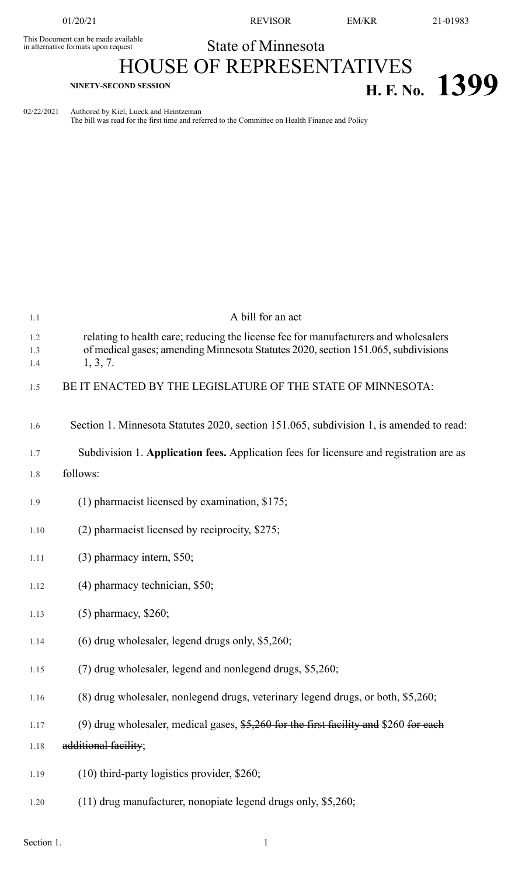This Document can be made available<br>in alternative formats upon request

01/20/21 REVISOR EM/KR 21-01983

## State of Minnesota

## HOUSE OF REPRESENTATIVES **H. F. NO. 1399**

02/22/2021 Authored by Kiel, Lueck and Heintzeman

The bill was read for the first time and referred to the Committee on Health Finance and Policy

| 1.1               | A bill for an act                                                                                                                                                                    |
|-------------------|--------------------------------------------------------------------------------------------------------------------------------------------------------------------------------------|
| 1.2<br>1.3<br>1.4 | relating to health care; reducing the license fee for manufacturers and wholesalers<br>of medical gases; amending Minnesota Statutes 2020, section 151.065, subdivisions<br>1, 3, 7. |
| 1.5               | BE IT ENACTED BY THE LEGISLATURE OF THE STATE OF MINNESOTA:                                                                                                                          |
| 1.6               | Section 1. Minnesota Statutes 2020, section 151.065, subdivision 1, is amended to read:                                                                                              |
| 1.7               | Subdivision 1. Application fees. Application fees for licensure and registration are as                                                                                              |
| 1.8               | follows:                                                                                                                                                                             |
| 1.9               | $(1)$ pharmacist licensed by examination, \$175;                                                                                                                                     |
| 1.10              | (2) pharmacist licensed by reciprocity, \$275;                                                                                                                                       |
| 1.11              | $(3)$ pharmacy intern, \$50;                                                                                                                                                         |
| 1.12              | $(4)$ pharmacy technician, \$50;                                                                                                                                                     |
| 1.13              | $(5)$ pharmacy, \$260;                                                                                                                                                               |
| 1.14              | $(6)$ drug wholesaler, legend drugs only, \$5,260;                                                                                                                                   |
| 1.15              | (7) drug wholesaler, legend and nonlegend drugs, \$5,260;                                                                                                                            |
| 1.16              | (8) drug wholesaler, nonlegend drugs, veterinary legend drugs, or both, \$5,260;                                                                                                     |
| 1.17              | (9) drug wholesaler, medical gases, $$5,260$ for the first facility and \$260 for each                                                                                               |
| 1.18              | additional facility;                                                                                                                                                                 |
| 1.19              | $(10)$ third-party logistics provider, \$260;                                                                                                                                        |
| 1.20              | (11) drug manufacturer, nonopiate legend drugs only, \$5,260;                                                                                                                        |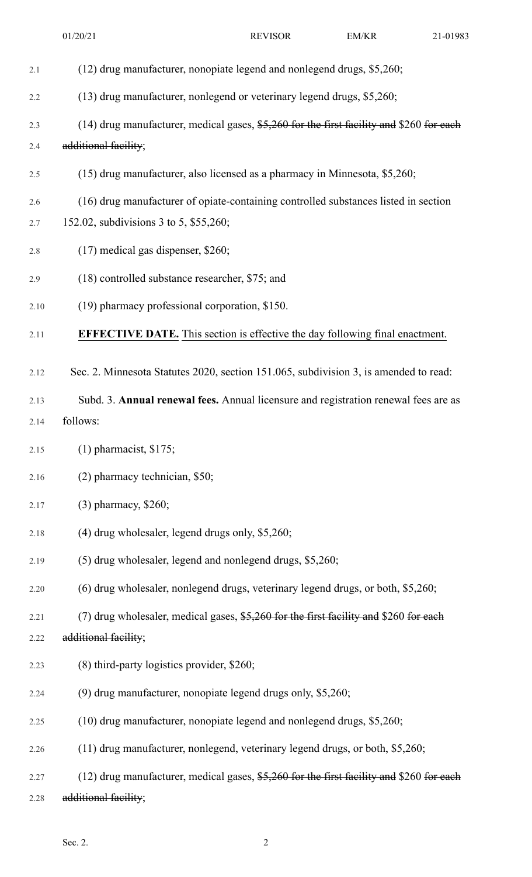| 2.1  | (12) drug manufacturer, nonopiate legend and nonlegend drugs, \$5,260;                    |
|------|-------------------------------------------------------------------------------------------|
| 2.2  | (13) drug manufacturer, nonlegend or veterinary legend drugs, \$5,260;                    |
| 2.3  | (14) drug manufacturer, medical gases, $$5,260$ for the first facility and \$260 for each |
| 2.4  | additional facility;                                                                      |
| 2.5  | (15) drug manufacturer, also licensed as a pharmacy in Minnesota, \$5,260;                |
| 2.6  | (16) drug manufacturer of opiate-containing controlled substances listed in section       |
| 2.7  | 152.02, subdivisions 3 to 5, \$55,260;                                                    |
| 2.8  | $(17)$ medical gas dispenser, \$260;                                                      |
| 2.9  | (18) controlled substance researcher, \$75; and                                           |
| 2.10 | (19) pharmacy professional corporation, \$150.                                            |
| 2.11 | <b>EFFECTIVE DATE.</b> This section is effective the day following final enactment.       |
| 2.12 | Sec. 2. Minnesota Statutes 2020, section 151.065, subdivision 3, is amended to read:      |
| 2.13 | Subd. 3. Annual renewal fees. Annual licensure and registration renewal fees are as       |
| 2.14 | follows:                                                                                  |
| 2.15 | $(1)$ pharmacist, \$175;                                                                  |
| 2.16 | (2) pharmacy technician, \$50;                                                            |
| 2.17 | $(3)$ pharmacy, \$260;                                                                    |
| 2.18 | $(4)$ drug wholesaler, legend drugs only, \$5,260;                                        |
| 2.19 | (5) drug wholesaler, legend and nonlegend drugs, \$5,260;                                 |
| 2.20 | (6) drug wholesaler, nonlegend drugs, veterinary legend drugs, or both, \$5,260;          |
| 2.21 | (7) drug wholesaler, medical gases, $$5,260$ for the first facility and \$260 for each    |
| 2.22 | additional facility;                                                                      |
| 2.23 | (8) third-party logistics provider, \$260;                                                |
| 2.24 | (9) drug manufacturer, nonopiate legend drugs only, \$5,260;                              |
| 2.25 | (10) drug manufacturer, nonopiate legend and nonlegend drugs, \$5,260;                    |
| 2.26 | (11) drug manufacturer, nonlegend, veterinary legend drugs, or both, \$5,260;             |
| 2.27 | (12) drug manufacturer, medical gases, $$5,260$ for the first facility and \$260 for each |
| 2.28 | additional facility;                                                                      |